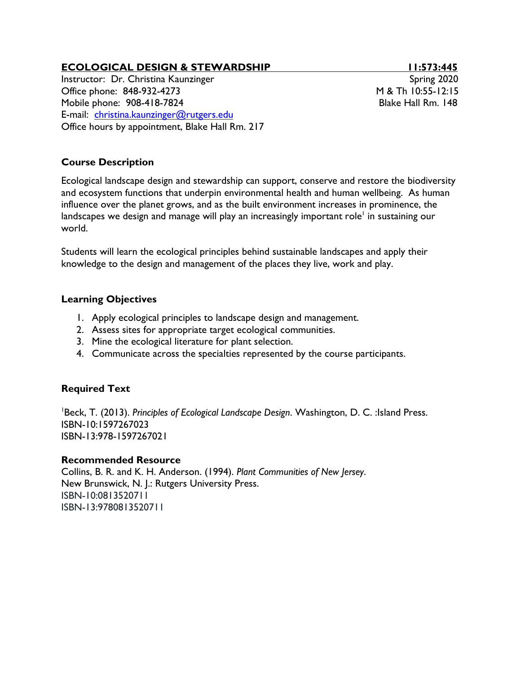# **ECOLOGICAL DESIGN & STEWARDSHIP 11:573:445**

Instructor: Dr. Christina Kaunzinger<br>Office phone: 848-932-4273 M & Th 10:55-12:15 Office phone: 848-932-4273 Mobile phone: 908-418-7824 Blake Hall Rm. 148 E-mail: [christina.kaunzinger@rutgers.edu](mailto:christina.kaunzinger@rutgers.edu) Office hours by appointment, Blake Hall Rm. 217

# **Course Description**

Ecological landscape design and stewardship can support, conserve and restore the biodiversity and ecosystem functions that underpin environmental health and human wellbeing. As human influence over the planet grows, and as the built environment increases in prominence, the landscapes we design and manage will play an increasingly important role<sup>1</sup> in sustaining our world.

Students will learn the ecological principles behind sustainable landscapes and apply their knowledge to the design and management of the places they live, work and play.

#### **Learning Objectives**

- 1. Apply ecological principles to landscape design and management.
- 2. Assess sites for appropriate target ecological communities.
- 3. Mine the ecological literature for plant selection.
- 4. Communicate across the specialties represented by the course participants.

## **Required Text**

<sup>1</sup>Beck, T. (2013). Principles of Ecological Landscape Design. Washington, D. C. :Island Press. ISBN-10:1597267023 ISBN-13:978-1597267021

#### **Recommended Resource**

Collins, B. R. and K. H. Anderson. (1994). *Plant Communities of New Jersey*. New Brunswick, N. J.: Rutgers University Press. ISBN-10:0813520711 ISBN-13:9780813520711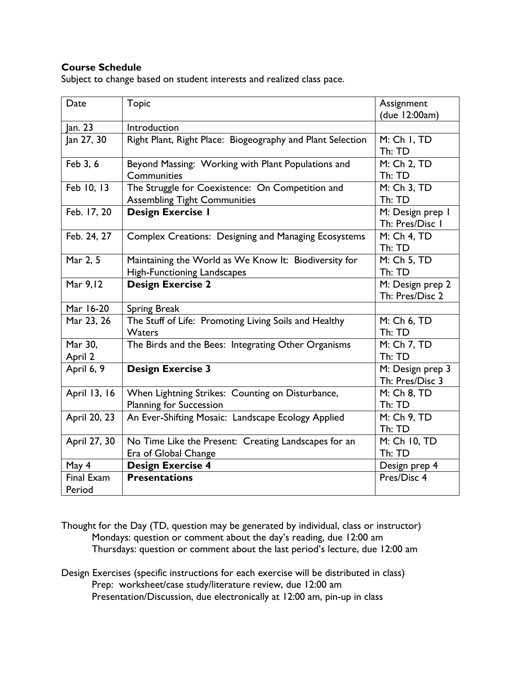# **Course Schedule**

Subject to change based on student interests and realized class pace.

| Date         | <b>Topic</b>                                                | Assignment       |
|--------------|-------------------------------------------------------------|------------------|
|              |                                                             | (due 12:00am)    |
| Jan. 23      | Introduction                                                |                  |
| Jan 27, 30   | Right Plant, Right Place: Biogeography and Plant Selection  | M: Ch I, TD      |
|              |                                                             | Th: TD           |
| Feb 3, 6     | Beyond Massing: Working with Plant Populations and          | M: Ch 2, TD      |
|              | Communities                                                 | Th: TD           |
| Feb 10, 13   | The Struggle for Coexistence: On Competition and            | M: Ch 3, TD      |
|              | <b>Assembling Tight Communities</b>                         | Th: TD           |
| Feb. 17, 20  | <b>Design Exercise I</b>                                    | M: Design prep I |
|              |                                                             | Th: Pres/Disc I  |
| Feb. 24, 27  | <b>Complex Creations: Designing and Managing Ecosystems</b> | M: Ch 4, TD      |
|              |                                                             | Th: TD           |
| Mar 2, 5     | Maintaining the World as We Know It: Biodiversity for       | M: Ch 5, TD      |
|              | <b>High-Functioning Landscapes</b>                          | Th: TD           |
| Mar 9,12     | <b>Design Exercise 2</b>                                    | M: Design prep 2 |
|              |                                                             | Th: Pres/Disc 2  |
| Mar 16-20    | Spring Break                                                |                  |
| Mar 23, 26   | The Stuff of Life: Promoting Living Soils and Healthy       | M: Ch 6, TD      |
|              | Waters                                                      | Th: TD           |
| Mar 30,      | The Birds and the Bees: Integrating Other Organisms         | M: Ch 7, TD      |
| April 2      |                                                             | Th: TD           |
| April 6, 9   | <b>Design Exercise 3</b>                                    | M: Design prep 3 |
|              |                                                             | Th: Pres/Disc 3  |
| April 13, 16 | When Lightning Strikes: Counting on Disturbance,            | M: Ch 8, TD      |
|              | <b>Planning for Succession</b>                              | Th: TD           |
| April 20, 23 | An Ever-Shifting Mosaic: Landscape Ecology Applied          | M: Ch 9, TD      |
|              |                                                             | Th: TD           |
| April 27, 30 | No Time Like the Present: Creating Landscapes for an        | M: Ch 10, TD     |
|              | Era of Global Change                                        | Th: TD           |
|              |                                                             |                  |
| May 4        | <b>Design Exercise 4</b>                                    | Design prep 4    |
| Final Exam   | <b>Presentations</b>                                        | Pres/Disc 4      |
| Period       |                                                             |                  |

Thought for the Day (TD, question may be generated by individual, class or instructor) Mondays: question or comment about the day's reading, due 12:00 am Thursdays: question or comment about the last period's lecture, due 12:00 am

Design Exercises (specific instructions for each exercise will be distributed in class) Prep: worksheet/case study/literature review, due 12:00 am Presentation/Discussion, due electronically at 12:00 am, pin-up in class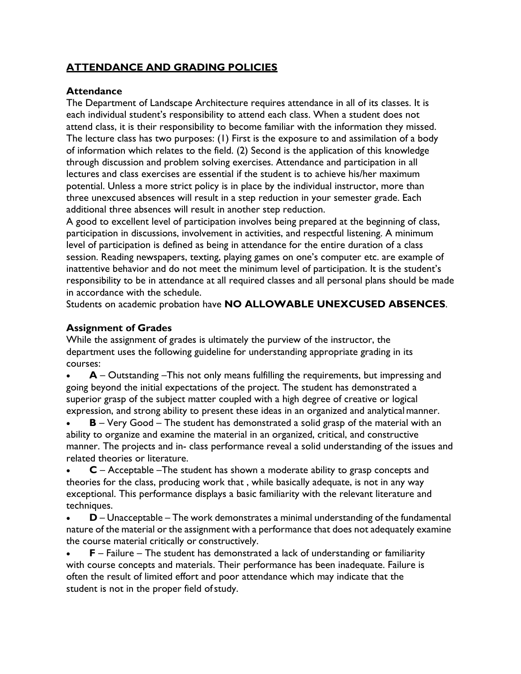# **ATTENDANCE AND GRADING POLICIES**

## **Attendance**

The Department of Landscape Architecture requires attendance in all of its classes. It is each individual student's responsibility to attend each class. When a student does not attend class, it is their responsibility to become familiar with the information they missed. The lecture class has two purposes: (1) First is the exposure to and assimilation of a body of information which relates to the field. (2) Second is the application of this knowledge through discussion and problem solving exercises. Attendance and participation in all lectures and class exercises are essential if the student is to achieve his/her maximum potential. Unless a more strict policy is in place by the individual instructor, more than three unexcused absences will result in a step reduction in your semester grade. Each additional three absences will result in another step reduction.

A good to excellent level of participation involves being prepared at the beginning of class, participation in discussions, involvement in activities, and respectful listening. A minimum level of participation is defined as being in attendance for the entire duration of a class session. Reading newspapers, texting, playing games on one's computer etc. are example of inattentive behavior and do not meet the minimum level of participation. It is the student's responsibility to be in attendance at all required classes and all personal plans should be made in accordance with the schedule.

Students on academic probation have **NO ALLOWABLE UNEXCUSED ABSENCES**.

# **Assignment of Grades**

While the assignment of grades is ultimately the purview of the instructor, the department uses the following guideline for understanding appropriate grading in its courses:

• **A** – Outstanding –This not only means fulfilling the requirements, but impressing and going beyond the initial expectations of the project. The student has demonstrated a superior grasp of the subject matter coupled with a high degree of creative or logical expression, and strong ability to present these ideas in an organized and analyticalmanner.

• **B** – Very Good – The student has demonstrated a solid grasp of the material with an ability to organize and examine the material in an organized, critical, and constructive manner. The projects and in- class performance reveal a solid understanding of the issues and related theories or literature.

• **C** – Acceptable –The student has shown a moderate ability to grasp concepts and theories for the class, producing work that , while basically adequate, is not in any way exceptional. This performance displays a basic familiarity with the relevant literature and techniques.

• **D** – Unacceptable – The work demonstrates a minimal understanding of the fundamental nature of the material or the assignment with a performance that does not adequately examine the course material critically or constructively.

• **F** – Failure – The student has demonstrated a lack of understanding or familiarity with course concepts and materials. Their performance has been inadequate. Failure is often the result of limited effort and poor attendance which may indicate that the student is not in the proper field of study.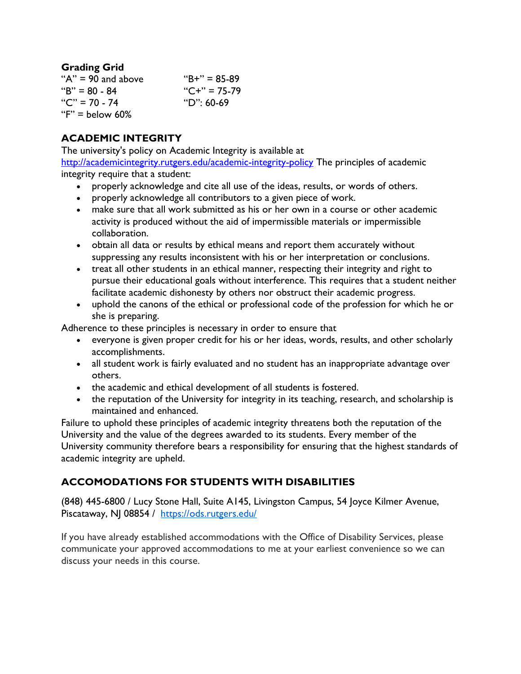### **Grading Grid**

| " $A$ " = 90 and above | "B+" = 85-89  |
|------------------------|---------------|
| "B" = $80 - 84$        | $C+T = 75-79$ |
| "C" = 70 - 74          | "D": 60-69    |
| "F" = below $60\%$     |               |

# **ACADEMIC INTEGRITY**

The university's policy on Academic Integrity is available at <http://academicintegrity.rutgers.edu/academic-integrity-policy> The principles of academic integrity require that a student:

- properly acknowledge and cite all use of the ideas, results, or words of others.
- properly acknowledge all contributors to a given piece of work.
- make sure that all work submitted as his or her own in a course or other academic activity is produced without the aid of impermissible materials or impermissible collaboration.
- obtain all data or results by ethical means and report them accurately without suppressing any results inconsistent with his or her interpretation or conclusions.
- treat all other students in an ethical manner, respecting their integrity and right to pursue their educational goals without interference. This requires that a student neither facilitate academic dishonesty by others nor obstruct their academic progress.
- uphold the canons of the ethical or professional code of the profession for which he or she is preparing.

Adherence to these principles is necessary in order to ensure that

- everyone is given proper credit for his or her ideas, words, results, and other scholarly accomplishments.
- all student work is fairly evaluated and no student has an inappropriate advantage over others.
- the academic and ethical development of all students is fostered.
- the reputation of the University for integrity in its teaching, research, and scholarship is maintained and enhanced.

Failure to uphold these principles of academic integrity threatens both the reputation of the University and the value of the degrees awarded to its students. Every member of the University community therefore bears a responsibility for ensuring that the highest standards of academic integrity are upheld.

# **ACCOMODATIONS FOR STUDENTS WITH DISABILITIES**

(848) 445-6800 / Lucy Stone Hall, Suite A145, Livingston Campus, 54 Joyce Kilmer Avenue, Piscataway, NJ 08854 / <https://ods.rutgers.edu/>

If you have already established accommodations with the Office of Disability Services, please communicate your approved accommodations to me at your earliest convenience so we can discuss your needs in this course.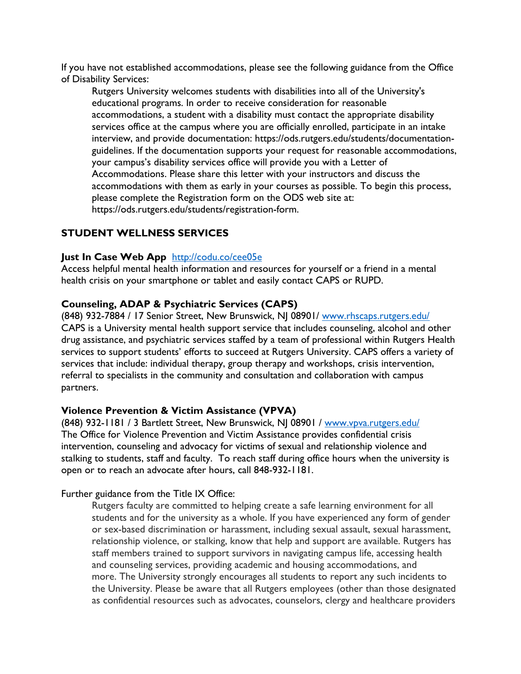If you have not established accommodations, please see the following guidance from the Office of Disability Services:

Rutgers University welcomes students with disabilities into all of the University's educational programs. In order to receive consideration for reasonable accommodations, a student with a disability must contact the appropriate disability services office at the campus where you are officially enrolled, participate in an intake interview, and provide documentation: [https://ods.rutgers.edu/students/documentation](https://ods.rutgers.edu/students/documentation-guidelines)[guidelines.](https://ods.rutgers.edu/students/documentation-guidelines) If the documentation supports your request for reasonable accommodations, your campus's disability services office will provide you with a Letter of Accommodations. Please share this letter with your instructors and discuss the accommodations with them as early in your courses as possible. To begin this process, please complete the Registration form on the ODS web site at: [https://ods.rutgers.edu/students/registration-form.](https://ods.rutgers.edu/students/registration-form)

#### **STUDENT WELLNESS SERVICES**

#### **[Just In Case Web App](http://m.appcreatorpro.com/m/rutgers/fda9f59ca5/fda9f59ca5.html)** <http://codu.co/cee05e>

Access helpful mental health information and resources for yourself or a friend in a mental health crisis on your smartphone or tablet and easily contact CAPS or RUPD.

#### **Counseling, ADAP & Psychiatric Services (CAPS)**

(848) 932-7884 / 17 Senior Street, New Brunswick, NJ 08901/ [www.rhscaps.rutgers.edu/](http://www.rhscaps.rutgers.edu/) CAPS is a University mental health support service that includes counseling, alcohol and other drug assistance, and psychiatric services staffed by a team of professional within Rutgers Health services to support students' efforts to succeed at Rutgers University. CAPS offers a variety of services that include: individual therapy, group therapy and workshops, crisis intervention, referral to specialists in the community and consultation and collaboration with campus partners.

#### **Violence Prevention & Victim Assistance (VPVA)**

(848) 932-1181 / 3 Bartlett Street, New Brunswick, NJ 08901 / [www.vpva.rutgers.edu/](http://www.vpva.rutgers.edu/) The Office for Violence Prevention and Victim Assistance provides confidential crisis intervention, counseling and advocacy for victims of sexual and relationship violence and stalking to students, staff and faculty. To reach staff during office hours when the university is open or to reach an advocate after hours, call 848-932-1181.

#### Further guidance from the Title IX Office:

Rutgers faculty are committed to helping create a safe learning environment for all students and for the university as a whole. If you have experienced any form of gender or sex-based discrimination or harassment, including sexual assault, sexual harassment, relationship violence, or stalking, know that help and support are available. Rutgers has staff members trained to support survivors in navigating campus life, accessing health and counseling services, providing academic and housing accommodations, and more. The University strongly encourages all students to report any such incidents to the University. Please be aware that all Rutgers employees (other than those designated as confidential resources such as advocates, counselors, clergy and healthcare providers